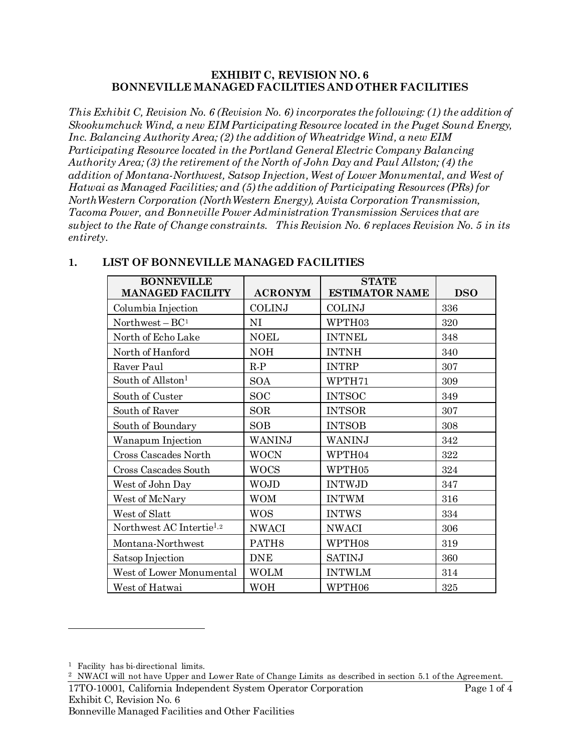#### **EXHIBIT C, REVISION NO. 6 BONNEVILLE MANAGED FACILITIES AND OTHER FACILITIES**

*This Exhibit C, Revision No. 6 (Revision No. 6) incorporates the following: (1) the addition of Skookumchuck Wind, a new EIM Participating Resource located in the Puget Sound Energy, Inc. Balancing Authority Area; (2) the addition of Wheatridge Wind, a new EIM Participating Resource located in the Portland General Electric Company Balancing Authority Area; (3) the retirement of the North of John Day and Paul Allston; (4) the addition of Montana-Northwest, Satsop Injection, West of Lower Monumental, and West of Hatwai as Managed Facilities; and (5) the addition of Participating Resources (PRs) for NorthWestern Corporation (NorthWestern Energy), Avista Corporation Transmission, Tacoma Power, and Bonneville Power Administration Transmission Services that are subject to the Rate of Change constraints. This Revision No. 6 replaces Revision No. 5 in its entirety.*

<span id="page-0-0"></span>

| <b>BONNEVILLE</b><br><b>MANAGED FACILITY</b> | <b>ACRONYM</b>    | <b>STATE</b><br><b>ESTIMATOR NAME</b> | <b>DSO</b> |
|----------------------------------------------|-------------------|---------------------------------------|------------|
| Columbia Injection                           | <b>COLINJ</b>     | <b>COLINJ</b>                         | 336        |
| Northwest $- BC1$                            | NI                | WPTH03                                | 320        |
| North of Echo Lake                           | <b>NOEL</b>       | <b>INTNEL</b>                         | 348        |
| North of Hanford                             | <b>NOH</b>        | <b>INTNH</b>                          | 340        |
| Raver Paul                                   | $R-P$             | <b>INTRP</b>                          | 307        |
| South of Allston <sup>1</sup>                | <b>SOA</b>        | WPTH71                                | 309        |
| South of Custer                              | <b>SOC</b>        | <b>INTSOC</b>                         | 349        |
| South of Raver                               | <b>SOR</b>        | <b>INTSOR</b>                         | 307        |
| South of Boundary                            | <b>SOB</b>        | <b>INTSOB</b>                         | 308        |
| Wanapum Injection                            | WANINJ            | WANINJ                                | 342        |
| Cross Cascades North                         | <b>WOCN</b>       | WPTH04                                | 322        |
| Cross Cascades South                         | <b>WOCS</b>       | WPTH05                                | 324        |
| West of John Day                             | <b>WOJD</b>       | <b>INTWJD</b>                         | 347        |
| West of McNary                               | <b>WOM</b>        | <b>INTWM</b>                          | 316        |
| West of Slatt                                | <b>WOS</b>        | <b>INTWS</b>                          | 334        |
| Northwest AC Intertie <sup>1,2</sup>         | <b>NWACI</b>      | <b>NWACI</b>                          | 306        |
| Montana-Northwest                            | PATH <sub>8</sub> | WPTH08                                | 319        |
| Satsop Injection                             | <b>DNE</b>        | <b>SATINJ</b>                         | 360        |
| West of Lower Monumental                     | <b>WOLM</b>       | <b>INTWLM</b>                         | 314        |
| West of Hatwai                               | <b>WOH</b>        | WPTH06                                | 325        |

# **1. LIST OF BONNEVILLE MANAGED FACILITIES**

 $\overline{a}$ 

<span id="page-0-1"></span><sup>1</sup> Facility has bi-directional limits.

<span id="page-0-2"></span><sup>2</sup> NWACI will not have Upper and Lower Rate of Change Limits as described in section 5.1 of the Agreement.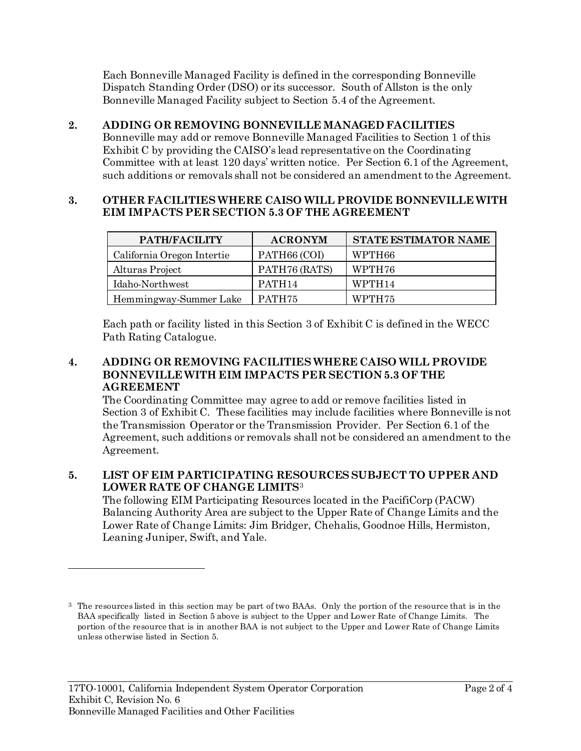Each Bonneville Managed Facility is defined in the corresponding Bonneville Dispatch Standing Order (DSO) or its successor. South of Allston is the only Bonneville Managed Facility subject to Section 5.4 of the Agreement.

**2. ADDING OR REMOVING BONNEVILLE MANAGED FACILITIES** Bonneville may add or remove Bonneville Managed Facilities to Section 1 of this Exhibit C by providing the CAISO's lead representative on the Coordinating Committee with at least 120 days' written notice. Per Section 6.1 of the Agreement, such additions or removals shall not be considered an amendment to the Agreement.

### **3. OTHER FACILITIES WHERE CAISO WILL PROVIDE BONNEVILLE WITH EIM IMPACTS PER SECTION 5.3 OF THE AGREEMENT**

| PATH/FACILITY              | <b>ACRONYM</b>     | <b>STATE ESTIMATOR NAME</b> |
|----------------------------|--------------------|-----------------------------|
| California Oregon Intertie | PATH66 (COI)       | WPTH66                      |
| Alturas Project            | PATH76 (RATS)      | WPTH76                      |
| Idaho-Northwest            | PATH <sub>14</sub> | WPTH <sub>14</sub>          |
| Hemmingway-Summer Lake     | PATH <sub>75</sub> | WPTH75                      |

Each path or facility listed in this Section 3 of Exhibit C is defined in the WECC Path Rating Catalogue.

## **4. ADDING OR REMOVING FACILITIES WHERE CAISO WILL PROVIDE BONNEVILLE WITH EIM IMPACTS PER SECTION 5.3 OF THE AGREEMENT**

The Coordinating Committee may agree to add or remove facilities listed in Section 3 of Exhibit C. These facilities may include facilities where Bonneville is not the Transmission Operator or the Transmission Provider. Per Section 6.1 of the Agreement, such additions or removals shall not be considered an amendment to the Agreement.

# **5. LIST OF EIM PARTICIPATING RESOURCES SUBJECT TO UPPER AND LOWER RATE OF CHANGE LIMITS**[3](#page-1-0)

The following EIM Participating Resources located in the PacifiCorp (PACW) Balancing Authority Area are subject to the Upper Rate of Change Limits and the Lower Rate of Change Limits: Jim Bridger, Chehalis, Goodnoe Hills, Hermiston, Leaning Juniper, Swift, and Yale.

 $\overline{a}$ 

<span id="page-1-0"></span><sup>3</sup> The resources listed in this section may be part of two BAAs. Only the portion of the resource that is in the BAA specifically listed in Section 5 above is subject to the Upper and Lower Rate of Change Limits. The portion of the resource that is in another BAA is not subject to the Upper and Lower Rate of Change Limits unless otherwise listed in Section 5.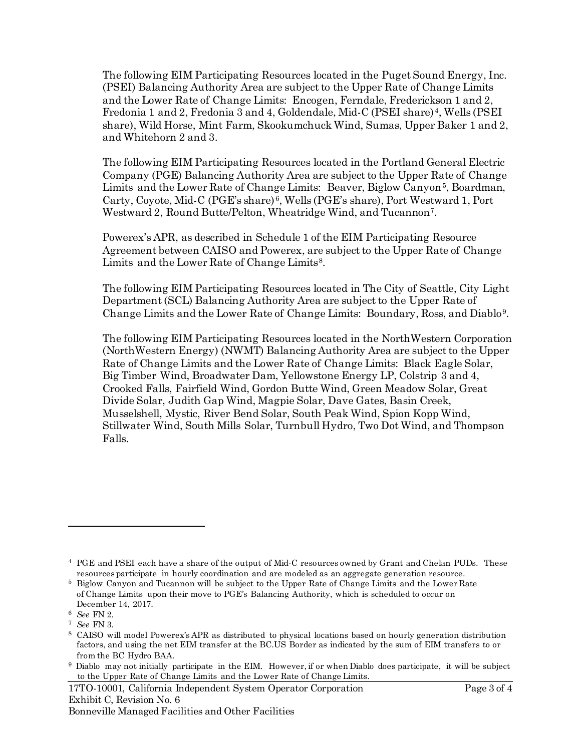The following EIM Participating Resources located in the Puget Sound Energy, Inc. (PSEI) Balancing Authority Area are subject to the Upper Rate of Change Limits and the Lower Rate of Change Limits: Encogen, Ferndale, Frederickson 1 and 2, Fredonia 1 and 2, Fredonia 3 and 4, Goldendale, Mid-C (PSEI share) [4](#page-2-0), Wells (PSEI share), Wild Horse, Mint Farm, Skookumchuck Wind, Sumas, Upper Baker 1 and 2, and Whitehorn 2 and 3.

The following EIM Participating Resources located in the Portland General Electric Company (PGE) Balancing Authority Area are subject to the Upper Rate of Change Limits and the Lower Rate of Change Limits: Beaver, Biglow Canyon<sup>[5](#page-2-1)</sup>, Boardman, Carty, Coyote, Mid-C (PGE's share) [6](#page-2-2), Wells (PGE's share), Port Westward 1, Port Westward 2, Round Butte/Pelton, Wheatridge Wind, and Tucannon<sup>7</sup>.

Powerex's APR, as described in Schedule 1 of the EIM Participating Resource Agreement between CAISO and Powerex, are subject to the Upper Rate of Change Limits and the Lower Rate of Change Limits<sup>[8](#page-2-4)</sup>.

The following EIM Participating Resources located in The City of Seattle, City Light Department (SCL) Balancing Authority Area are subject to the Upper Rate of Change Limits and the Lower Rate of Change Limits: Boundary, Ross, and Diablo[9.](#page-2-5)

The following EIM Participating Resources located in the NorthWestern Corporation (NorthWestern Energy) (NWMT) Balancing Authority Area are subject to the Upper Rate of Change Limits and the Lower Rate of Change Limits: Black Eagle Solar, Big Timber Wind, Broadwater Dam, Yellowstone Energy LP, Colstrip 3 and 4, Crooked Falls, Fairfield Wind, Gordon Butte Wind, Green Meadow Solar, Great Divide Solar, Judith Gap Wind, Magpie Solar, Dave Gates, Basin Creek, Musselshell, Mystic, River Bend Solar, South Peak Wind, Spion Kopp Wind, Stillwater Wind, South Mills Solar, Turnbull Hydro, Two Dot Wind, and Thompson Falls.

 $\overline{a}$ 

17TO-10001, California Independent System Operator Corporation Page 3 of 4 Exhibit C, Revision No. 6 Bonneville Managed Facilities and Other Facilities

<span id="page-2-0"></span><sup>4</sup> PGE and PSEI each have a share of the output of Mid-C resources owned by Grant and Chelan PUDs. These resources participate in hourly coordination and are modeled as an aggregate generation resource.

<span id="page-2-1"></span><sup>5</sup> Biglow Canyon and Tucannon will be subject to the Upper Rate of Change Limits and the Lower Rate of Change Limits upon their move to PGE's Balancing Authority, which is scheduled to occur on December 14, 2017.

<span id="page-2-2"></span><sup>6</sup> *See* FN 2.

<span id="page-2-3"></span><sup>7</sup> *See* FN 3.

<span id="page-2-4"></span><sup>8</sup> CAISO will model Powerex's APR as distributed to physical locations based on hourly generation distribution factors, and using the net EIM transfer at the BC.US Border as indicated by the sum of EIM transfers to or from the BC Hydro BAA.

<span id="page-2-5"></span><sup>9</sup> Diablo may not initially participate in the EIM. However, if or when Diablo does participate, it will be subject to the Upper Rate of Change Limits and the Lower Rate of Change Limits.